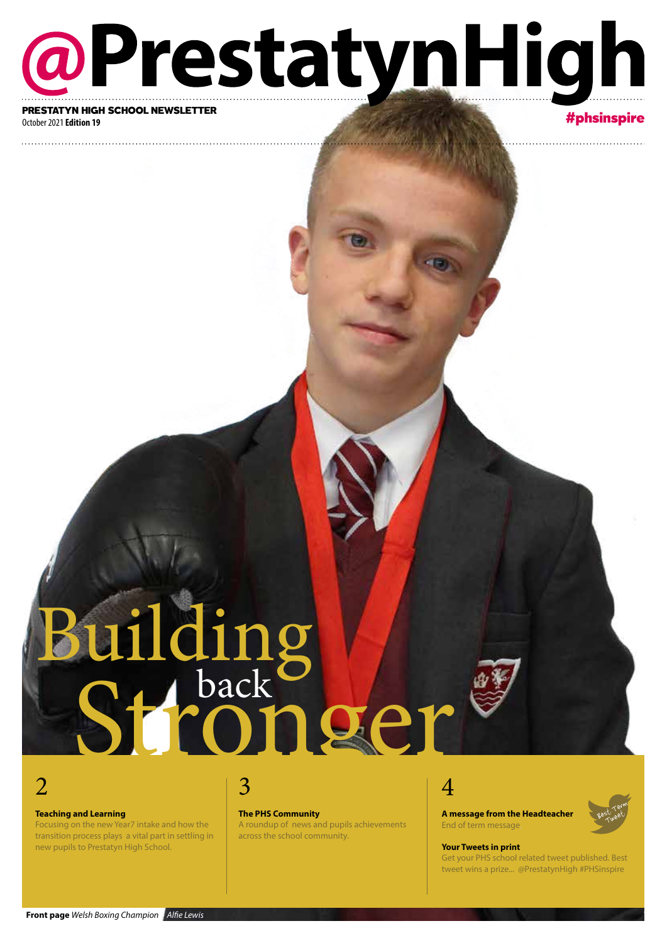# @PrestatynHigh PRESTATYN HIGH SCHOOL NEWSLETTER

#### October 2021 **Edition 19**

#### #phsinspire

# Building<br>Stronger uilding

### 2

#### **Teaching and Learning**

Focusing on the new Year7 intake and how the transition process plays a vital part in settling in new pupils to Prestatyn High School.

### 3

**The PHS Community**

A roundup of news and pupils achievements across the school community.

### 4

**A message from the Headteacher** End of term message.

### Best Term st jet

#### **Your Tweets in print**

Get your PHS school related tweet published. Best tweet wins a prize... @PrestatynHigh #PHSinspire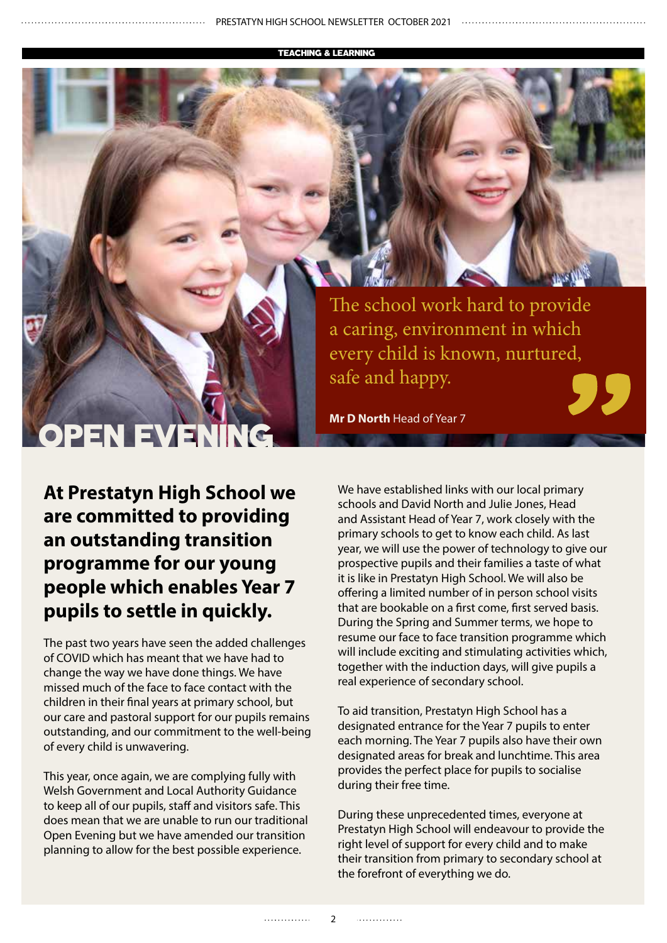TEACHING & LEARNING

# OPEN EVE

The school work hard to provide a caring, environment in which every child is known, nurtured, safe and happy.

**Mr D North** Head of Year 7

**At Prestatyn High School we are committed to providing an outstanding transition programme for our young people which enables Year 7 pupils to settle in quickly.** 

The past two years have seen the added challenges of COVID which has meant that we have had to change the way we have done things. We have missed much of the face to face contact with the children in their final years at primary school, but our care and pastoral support for our pupils remains outstanding, and our commitment to the well-being of every child is unwavering.

This year, once again, we are complying fully with Welsh Government and Local Authority Guidance to keep all of our pupils, staff and visitors safe. This does mean that we are unable to run our traditional Open Evening but we have amended our transition planning to allow for the best possible experience.

We have established links with our local primary schools and David North and Julie Jones, Head and Assistant Head of Year 7, work closely with the primary schools to get to know each child. As last year, we will use the power of technology to give our prospective pupils and their families a taste of what it is like in Prestatyn High School. We will also be offering a limited number of in person school visits that are bookable on a first come, first served basis. During the Spring and Summer terms, we hope to resume our face to face transition programme which will include exciting and stimulating activities which, together with the induction days, will give pupils a real experience of secondary school.

To aid transition, Prestatyn High School has a designated entrance for the Year 7 pupils to enter each morning. The Year 7 pupils also have their own designated areas for break and lunchtime. This area provides the perfect place for pupils to socialise during their free time.

During these unprecedented times, everyone at Prestatyn High School will endeavour to provide the right level of support for every child and to make their transition from primary to secondary school at the forefront of everything we do.

. . . . . . . . . . . . .

. . . . . . . . . . . . .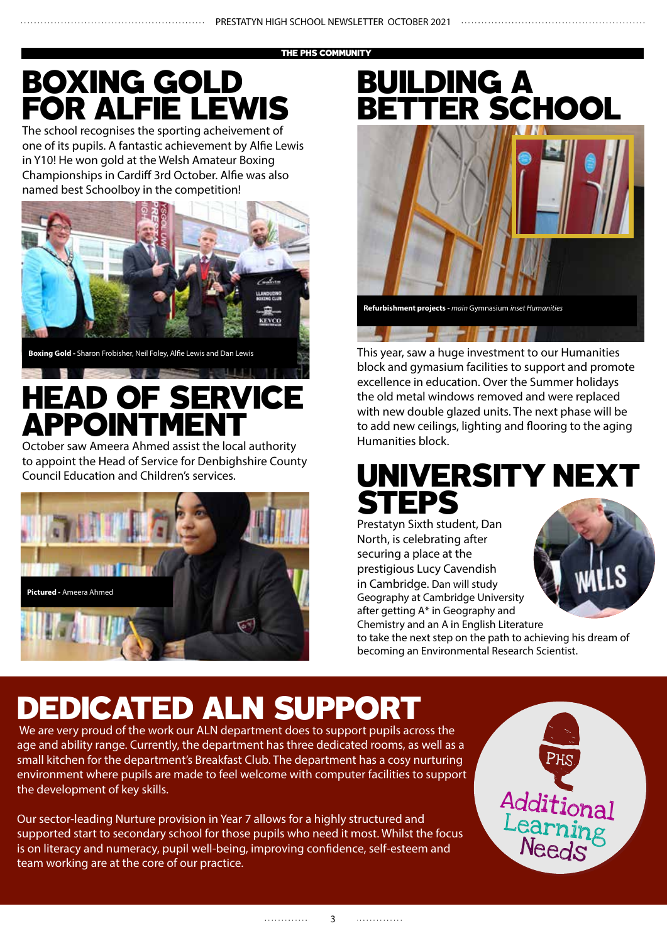THE PHS COMMUNITY

## BOXING GOLD FOR ALFIE LEWIS

The school recognises the sporting acheivement of one of its pupils. A fantastic achievement by Alfie Lewis in Y10! He won gold at the Welsh Amateur Boxing Championships in Cardiff 3rd October. Alfie was also named best Schoolboy in the competition!



**Boxing Gold -** Sharon Frobisher, Neil Foley, Alfie Lewis and Dan Lewis

# HEAD OF SERVICE **APPOINTMEN**

October saw Ameera Ahmed assist the local authority to appoint the Head of Service for Denbighshire County Council Education and Children's services.



### BUILDING A BETTER SCHOOL



This year, saw a huge investment to our Humanities block and gymasium facilities to support and promote excellence in education. Over the Summer holidays the old metal windows removed and were replaced with new double glazed units. The next phase will be to add new ceilings, lighting and flooring to the aging Humanities block.

### UNIVERSITY NEXT **STEPS**

Prestatyn Sixth student, Dan North, is celebrating after securing a place at the prestigious Lucy Cavendish in Cambridge. Dan will study Geography at Cambridge University after getting A\* in Geography and Chemistry and an A in English Literature



to take the next step on the path to achieving his dream of becoming an Environmental Research Scientist.

# DEDICATED ALN SUPPORT

 We are very proud of the work our ALN department does to support pupils across the age and ability range. Currently, the department has three dedicated rooms, as well as a small kitchen for the department's Breakfast Club. The department has a cosy nurturing environment where pupils are made to feel welcome with computer facilities to support the development of key skills.

Our sector-leading Nurture provision in Year 7 allows for a highly structured and supported start to secondary school for those pupils who need it most. Whilst the focus is on literacy and numeracy, pupil well-being, improving confidence, self-esteem and team working are at the core of our practice.